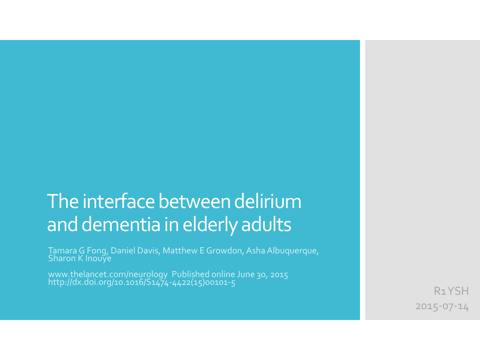# The interface between delirium and dementia in elderly adults

Tamara G Fong, Daniel Davis, Matthew E Growdon, Asha Albuquerque, Sharon K Inouye

www.thelancet.com/neurology Published online June 30, 2015 http://dx.doi.org/10.1016/S1474-4422(15)00101-5

R1 YSH 2015-07-14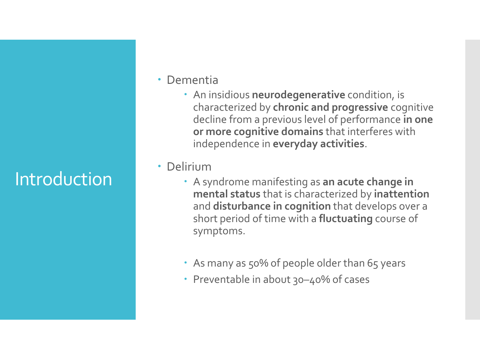# Introduction

- Dementia
	- An insidious **neurodegenerative** condition, is characterized by **chronic and progressive** cognitive decline from a previous level of performance **in one or more cognitive domains** that interferes with independence in **everyday activities**.
- Delirium
	- A syndrome manifesting as **an acute change in mental status** that is characterized by **inattention**  and **disturbance in cognition** that develops over a short period of time with a **fluctuating** course of symptoms.
	- As many as 50% of people older than 65 years
	- Preventable in about 30–40% of cases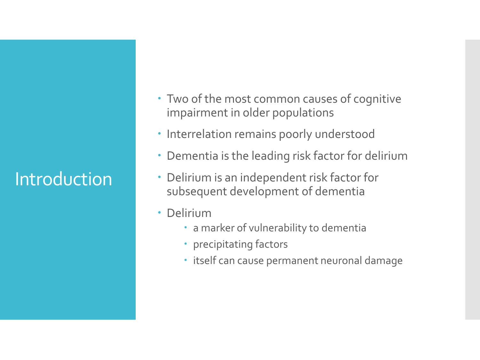# Introduction

- Two of the most common causes of cognitive impairment in older populations
- **· Interrelation remains poorly understood**
- Dementia is the leading risk factor for delirium
- Delirium is an independent risk factor for subsequent development of dementia
- Delirium
	- a marker of vulnerability to dementia
	- precipitating factors
	- itself can cause permanent neuronal damage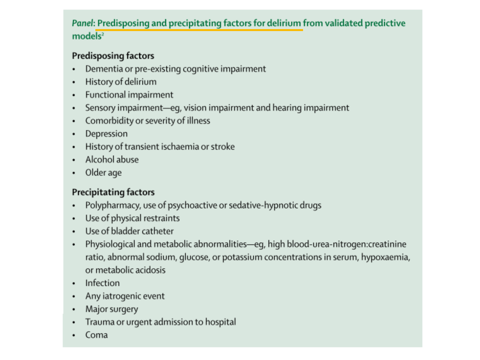#### Panel: Predisposing and precipitating factors for delirium from validated predictive models<sup>2</sup>

#### **Predisposing factors**

- Dementia or pre-existing cognitive impairment ۰
- History of delirium ٠
- Functional impairment ٠
- Sensory impairment-eg, vision impairment and hearing impairment ٠
- Comorbidity or severity of illness ٠
- Depression ٠
- History of transient ischaemia or stroke ٠
- Alcohol abuse ٠
- Older age ٠

#### **Precipitating factors**

- Polypharmacy, use of psychoactive or sedative-hypnotic drugs ۰
- Use of physical restraints ٠
- Use of bladder catheter ٠
- Physiological and metabolic abnormalities-eg, high blood-urea-nitrogen:creatinine ۰ ratio, abnormal sodium, glucose, or potassium concentrations in serum, hypoxaemia, or metabolic acidosis
- Infection ٠
- Any iatrogenic event ٠
- Major surgery ٠
- Trauma or urgent admission to hospital ٠
- Coma ٠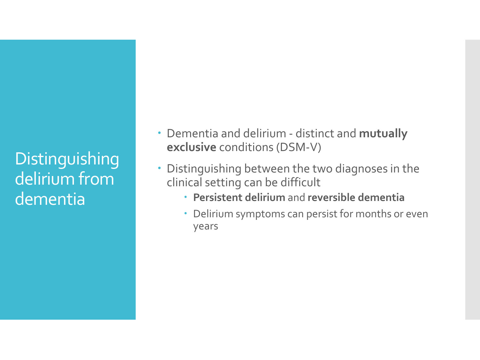## **Distinguishing** delirium from dementia

- Dementia and delirium distinct and **mutually exclusive** conditions (DSM-V)
- Distinguishing between the two diagnoses in the clinical setting can be difficult
	- **Persistent delirium** and **reversible dementia**
	- Delirium symptoms can persist for months or even years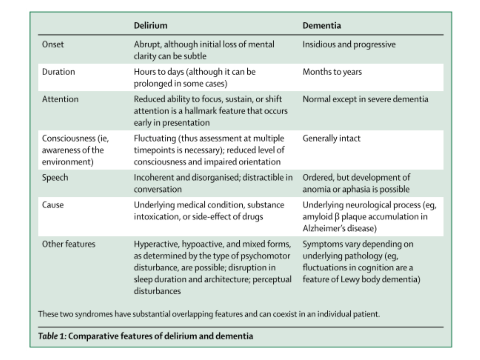|                                                        | Delirium                                                                                                                                                                                         | Dementia                                                                                                                     |
|--------------------------------------------------------|--------------------------------------------------------------------------------------------------------------------------------------------------------------------------------------------------|------------------------------------------------------------------------------------------------------------------------------|
| Onset                                                  | Abrupt, although initial loss of mental<br>clarity can be subtle                                                                                                                                 | Insidious and progressive                                                                                                    |
| Duration                                               | Hours to days (although it can be<br>prolonged in some cases)                                                                                                                                    | Months to years                                                                                                              |
| Attention                                              | Reduced ability to focus, sustain, or shift<br>attention is a hallmark feature that occurs<br>early in presentation                                                                              | Normal except in severe dementia                                                                                             |
| Consciousness (ie,<br>awareness of the<br>environment) | Fluctuating (thus assessment at multiple<br>timepoints is necessary); reduced level of<br>consciousness and impaired orientation                                                                 | Generally intact                                                                                                             |
| Speech                                                 | Incoherent and disorganised; distractible in<br>conversation                                                                                                                                     | Ordered, but development of<br>anomia or aphasia is possible                                                                 |
| Cause                                                  | Underlying medical condition, substance<br>intoxication, or side-effect of drugs                                                                                                                 | Underlying neurological process (eg,<br>$amyloid \beta$ plaque accumulation in<br>Alzheimer's disease)                       |
| Other features                                         | Hyperactive, hypoactive, and mixed forms,<br>as determined by the type of psychomotor<br>disturbance, are possible; disruption in<br>sleep duration and architecture; perceptual<br>disturbances | Symptoms vary depending on<br>underlying pathology (eq,<br>fluctuations in cognition are a<br>feature of Lewy body dementia) |

These two syndromes have substantial overlapping features and can coexist in an individual patient.

#### Table 1: Comparative features of delirium and dementia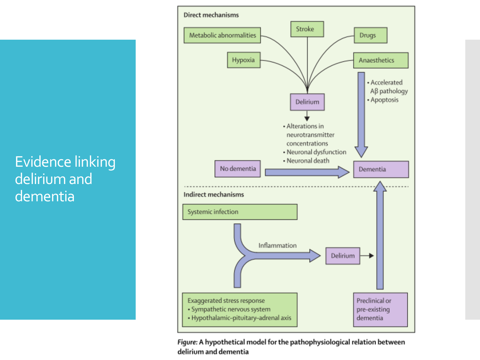

Figure: A hypothetical model for the pathophysiological relation between delirium and dementia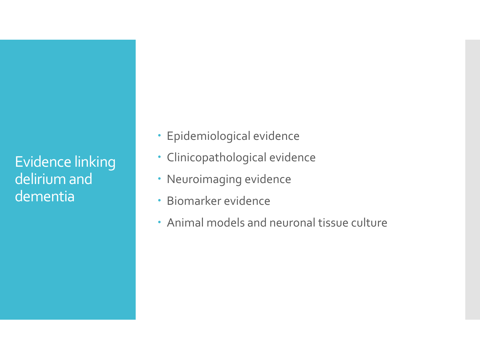- Epidemiological evidence
- Clinicopathological evidence
- Neuroimaging evidence
- Biomarker evidence
- Animal models and neuronal tissue culture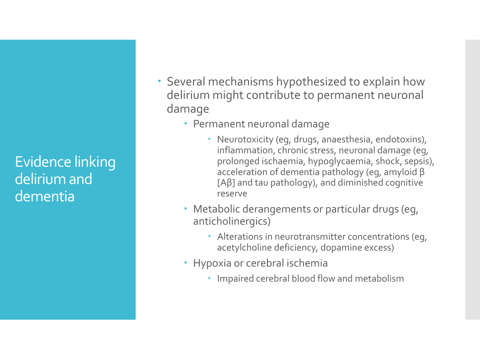- Several mechanisms hypothesized to explain how delirium might contribute to permanent neuronal damage
	- Permanent neuronal damage
		- Neurotoxicity (eg, drugs, anaesthesia, endotoxins), inflammation, chronic stress, neuronal damage (eg, prolonged ischaemia, hypoglycaemia, shock, sepsis), acceleration of dementia pathology (eg, amyloid β [Aβ] and tau pathology), and diminished cognitive reserve
	- Metabolic derangements or particular drugs (eg, anticholinergics)
		- Alterations in neurotransmitter concentrations (eg, acetylcholine deficiency, dopamine excess)
	- Hypoxia or cerebral ischemia
		- Impaired cerebral blood flow and metabolism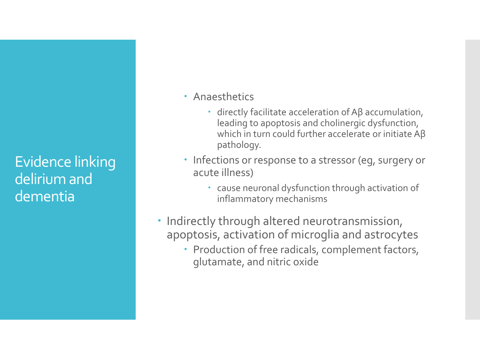- Anaesthetics
	- directly facilitate acceleration of Aβ accumulation, leading to apoptosis and cholinergic dysfunction, which in turn could further accelerate or initiate Aβ pathology.
- Infections or response to a stressor (eg, surgery or acute illness)
	- cause neuronal dysfunction through activation of inflammatory mechanisms
- Indirectly through altered neurotransmission, apoptosis, activation of microglia and astrocytes
	- Production of free radicals, complement factors, glutamate, and nitric oxide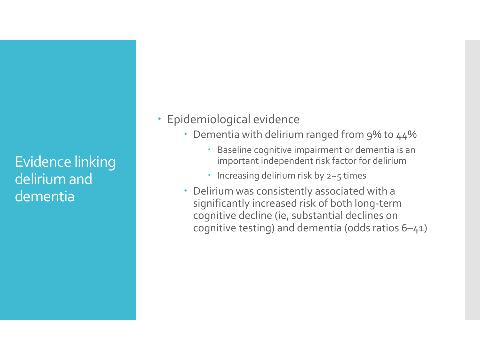#### • Epidemiological evidence

- Dementia with delirium ranged from 9% to 44%
	- Baseline cognitive impairment or dementia is an important independent risk factor for delirium
	- $\cdot$  Increasing delirium risk by 2~5 times
- Delirium was consistently associated with a significantly increased risk of both long-term cognitive decline (ie, substantial declines on cognitive testing) and dementia (odds ratios 6–41)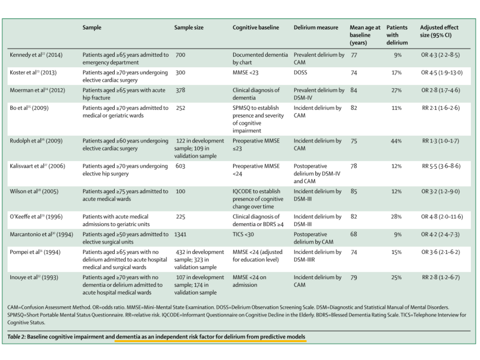|                                        | Sample                                                                                               | Sample size                                               | Cognitive baseline                                                        | Delirium measure                               | Mean age at<br>baseline<br>(years) | <b>Patients</b><br>with<br>delirium | Adjusted effect<br>size (95% CI) |
|----------------------------------------|------------------------------------------------------------------------------------------------------|-----------------------------------------------------------|---------------------------------------------------------------------------|------------------------------------------------|------------------------------------|-------------------------------------|----------------------------------|
| Kennedy et al <sup>22</sup> (2014)     | Patients aged ≥65 years admitted to<br>emergency department                                          | 700                                                       | Documented dementia<br>by chart                                           | Prevalent delirium by<br>CAM                   | - 77                               | 9%                                  | OR 4-3 (2-2-8-5)                 |
| Koster et al <sup>23</sup> (2013)      | Patients aged ≥70 years undergoing<br>elective cardiac surgery                                       | 300                                                       | MMSE < 23                                                                 | DOSS                                           | 74                                 | 17%                                 | OR 4-5 (1-9-13-0)                |
| Moerman et al <sup>24</sup> (2012)     | Patients aged ≥65 years with acute<br>hip fracture                                                   | 378                                                       | Clinical diagnosis of<br>dementia                                         | Prevalent delirium by<br>DSM-IV                | 84                                 | 27%                                 | OR 2-8 (1-7-4-6)                 |
| Bo et al <sup>25</sup> (2009)          | Patients aged ≥70 years admitted to<br>medical or geriatric wards                                    | 252                                                       | SPMSQ to establish<br>presence and severity<br>of cognitive<br>impairment | Incident delirium by<br>CAM                    | 82                                 | 11%                                 | $RR 2.1 (1.6 - 2.6)$             |
| Rudolph et al <sup>26</sup> (2009)     | Patients aged ≥60 years undergoing<br>elective cardiac surgery                                       | 122 in development<br>sample; 109 in<br>validation sample | Preoperative MMSE<br>$\leq$ 23                                            | Incident delirium by<br>CAM                    | 75                                 | 44%                                 | RR 1-3 (1-0-1-7)                 |
| Kalisvaart et al <sup>27</sup> (2006)  | Patients aged ≥70 years undergoing<br>elective hip surgery                                           | 603                                                       | Preoperative MMSE<br>24                                                   | Postoperative<br>delirium by DSM-IV<br>and CAM | 78                                 | 12%                                 | RR 5-5 (3-6-8-6)                 |
| Wilson et al <sup>28</sup> (2005)      | Patients aged ≥75 years admitted to<br>acute medical wards                                           | 100                                                       | IQCODE to establish<br>presence of cognitive<br>change over time          | Incident delirium by<br>DSM-III                | 85                                 | 12%                                 | OR 3-2 (1-2-9-0)                 |
| O'Keeffe et al <sup>29</sup> (1996)    | Patients with acute medical<br>admissions to geriatric units                                         | 225                                                       | Clinical diagnosis of<br>dementia or BDRS ≥4                              | Incident delirium by<br>DSM-III                | 82                                 | 28%                                 | OR 4-8 (2-0-11-6)                |
| Marcantonio et al <sup>30</sup> (1994) | Patients aged ≥50 years admitted to<br>elective surgical units                                       | 1341                                                      | TICS < 30                                                                 | Postoperative<br>delirium by CAM               | 68                                 | 9%                                  | OR 4-2 (2-4-7-3)                 |
| Pompei et al <sup>31</sup> (1994)      | Patients aged ≥65 years with no<br>delirium admitted to acute hospital<br>medical and surgical wards | 432 in development<br>sample; 323 in<br>validation sample | MMSE <24 (adjusted<br>for education level)                                | Incident delirium by<br>DSM-IIIR               | 74                                 | 15%                                 | OR 3-6 (2-1-6-2)                 |
| Inouye et al <sup>32</sup> (1993)      | Patients aged ≥70 years with no<br>dementia or delirium admitted to<br>acute hospital medical wards  | 107 in development<br>sample; 174 in<br>validation sample | MMSE <24 on<br>admission                                                  | Incident delirium by<br>CAM                    | 79                                 | 25%                                 | RR 2-8 (1-2-6-7)                 |

CAM=Confusion Assessment Method. OR=odds ratio. MMSE=Mini-Mental State Examination. DOSS=Delirium Observation Screening Scale. DSM=Diagnostic and Statistical Manual of Mental Disorders. SPMSQ=Short Portable Mental Status Questionnaire. RR=relative risk. IQCODE=Informant Questionnaire on Cognitive Decline in the Elderly. BDRS=Blessed Dementia Rating Scale. TICS=Telephone Interview for Cognitive Status.

Table 2: Baseline cognitive impairment and dementia as an independent risk factor for delirium from predictive models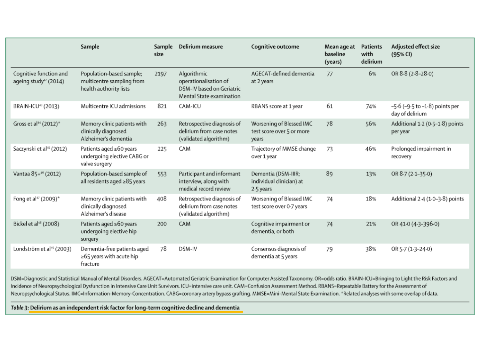|                                                             | Sample                                                                          | Sample<br>size | Delirium measure                                                                              | Cognitive outcome                                              | Mean age at<br>baseline<br>(years) | Patients<br>with<br>delirium | Adjusted effect size<br>(95% CI)                          |
|-------------------------------------------------------------|---------------------------------------------------------------------------------|----------------|-----------------------------------------------------------------------------------------------|----------------------------------------------------------------|------------------------------------|------------------------------|-----------------------------------------------------------|
| Cognitive function and<br>ageing study <sup>42</sup> (2014) | Population-based sample;<br>multicentre sampling from<br>health authority lists | 2197           | Algorithmic<br>operationalisation of<br>DSM-IV based on Geriatric<br>Mental State examination | AGECAT-defined dementia<br>at 2 years                          | 77                                 | 6%                           | OR 8.8 (2.8-28.0)                                         |
| BRAIN-ICU <sup>43</sup> (2013)                              | Multicentre ICU admissions                                                      | 821            | CAM-ICU                                                                                       | RBANS score at 1 year                                          | 61                                 | 74%                          | $-5.6$ ( $-9.5$ to $-1.8$ ) points per<br>day of delirium |
| Gross et al <sup>44</sup> (2012)*                           | Memory clinic patients with<br>clinically diagnosed<br>Alzheimer's dementia     | 263            | Retrospective diagnosis of<br>delirium from case notes<br>(validated algorithm)               | Worsening of Blessed IMC<br>test score over 5 or more<br>years | 78                                 | 56%                          | Additional 1.2 (0.5-1.8) points<br>per year               |
| Saczynski et al <sup>45</sup> (2012)                        | Patients aged ≥60 years<br>undergoing elective CABG or<br>valve surgery         | 225            | CAM                                                                                           | Trajectory of MMSE change<br>over 1 year                       | 73                                 | 46%                          | Prolonged impairment in<br>recovery                       |
| Vantaa 85+46 (2012)                                         | Population-based sample of<br>all residents aged ≥85 years                      | 553            | Participant and informant<br>interview, along with<br>medical record review                   | Dementia (DSM-IIIR;<br>individual clinician) at<br>2.5 years   | 89                                 | 13%                          | OR 8.7 (2-1-35-0)                                         |
| Fong et al <sup>47</sup> (2009) <sup>*</sup>                | Memory clinic patients with<br>clinically diagnosed<br>Alzheimer's disease      | 408            | Retrospective diagnosis of<br>delirium from case notes<br>(validated algorithm)               | Worsening of Blessed IMC<br>test score over 0.7 years          | 74                                 | 18%                          | Additional 2-4 (1-0-3-8) points                           |
| Bickel et al <sup>48</sup> (2008)                           | Patients aged ≥60 years<br>undergoing elective hip<br>surgery                   | 200            | CAM                                                                                           | Cognitive impairment or<br>dementia, or both                   | 74                                 | 21%                          | OR 41-0 (4-3-396-0)                                       |
| Lundström et al <sup>49</sup> (2003)                        | Dementia-free patients aged<br>≥65 years with acute hip<br>fracture             | 78             | DSM-IV                                                                                        | Consensus diagnosis of<br>dementia at 5 years                  | 79                                 | 38%                          | OR 5-7 (1-3-24-0)                                         |

DSM=Diagnostic and Statistical Manual of Mental Disorders. AGECAT=Automated Geriatric Examination for Computer Assisted Taxonomy. OR=odds ratio. BRAIN-ICU=Bringing to Light the Risk Factors and Incidence of Neuropsychological Dysfunction in Intensive Care Unit Survivors. ICU=intensive care unit. CAM=Confusion Assessment Method. RBANS=Repeatable Battery for the Assessment of Neuropsychological Status. IMC=Information-Memory-Concentration. CABG=coronary artery bypass grafting. MMSE=Mini-Mental State Examination. \*Related analyses with some overlap of data.

Table 3: Delirium as an independent risk factor for long-term cognitive decline and dementia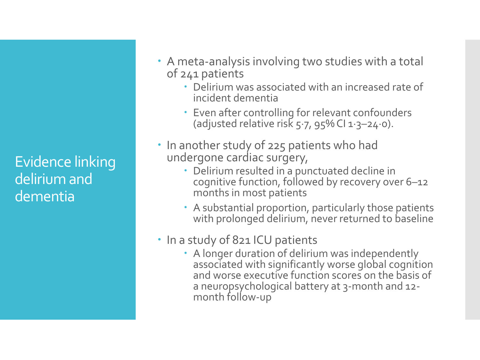- A meta-analysis involving two studies with a total of 241 patients
	- Delirium was associated with an increased rate of incident dementia
	- Even after controlling for relevant confounders (adjusted relative risk  $5.7$ ,  $95\%$  Cl  $1.3-24.0$ ).
- In another study of 225 patients who had undergone cardiac surgery,
	- Delirium resulted in a punctuated decline in cognitive function, followed by recovery over 6–12 months in most patients
	- A substantial proportion, particularly those patients with prolonged delirium, never returned to baseline

#### • In a study of 821 ICU patients

 A longer duration of delirium was independently associated with significantly worse global cognition and worse executive function scores on the basis of a neuropsychological battery at 3-month and 12 month follow-up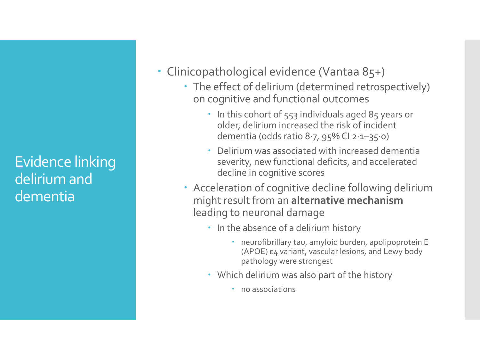- Clinicopathological evidence (Vantaa 85+)
	- The effect of delirium (determined retrospectively) on cognitive and functional outcomes
		- . In this cohort of 553 individuals aged 85 years or older, delirium increased the risk of incident dementia (odds ratio 8·7, 95% CI 2·1–35·0)
		- Delirium was associated with increased dementia severity, new functional deficits, and accelerated decline in cognitive scores
	- Acceleration of cognitive decline following delirium might result from an **alternative mechanism** leading to neuronal damage
		- In the absence of a delirium history
			- neurofibrillary tau, amyloid burden, apolipoprotein E (APOE) ε4 variant, vascular lesions, and Lewy body pathology were strongest
		- Which delirium was also part of the history
			- no associations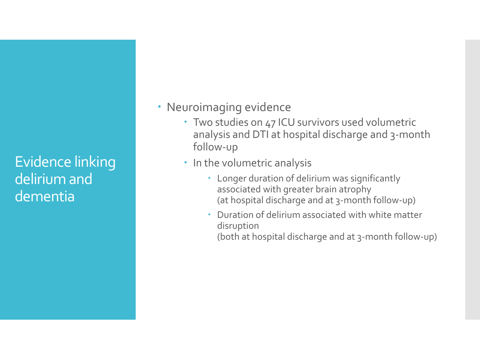- Neuroimaging evidence
	- Two studies on 47 ICU survivors used volumetric analysis and DTI at hospital discharge and 3-month follow-up
	- In the volumetric analysis
		- Longer duration of delirium was significantly associated with greater brain atrophy (at hospital discharge and at 3-month follow-up)
		- Duration of delirium associated with white matter disruption

(both at hospital discharge and at 3-month follow-up)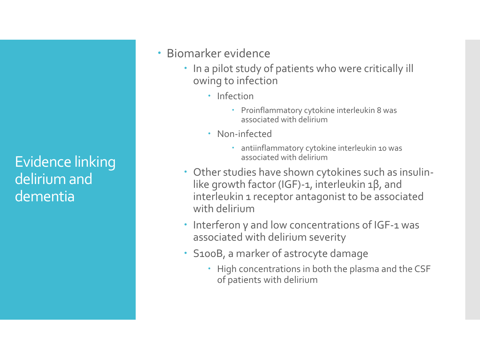- Biomarker evidence
	- In a pilot study of patients who were critically ill owing to infection
		- Infection
			- Proinflammatory cytokine interleukin 8 was associated with delirium
		- Non-infected
			- antiinflammatory cytokine interleukin 10 was associated with delirium
	- Other studies have shown cytokines such as insulinlike growth factor (IGF)-1, interleukin 1β, and interleukin 1 receptor antagonist to be associated with delirium
	- Interferon γ and low concentrations of IGF-1 was associated with delirium severity
	- S100B, a marker of astrocyte damage
		- High concentrations in both the plasma and the CSF of patients with delirium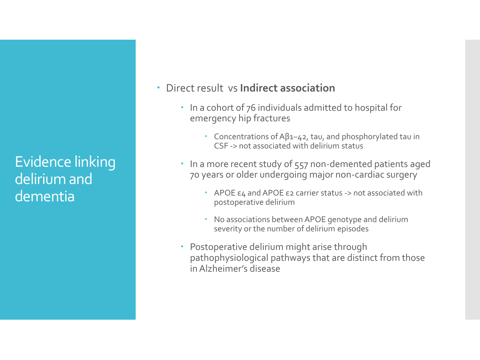- Direct result vs **Indirect association**
	- In a cohort of 76 individuals admitted to hospital for emergency hip fractures
		- Concentrations of Aβ1–42, tau, and phosphorylated tau in CSF -> not associated with delirium status
	- In a more recent study of 557 non-demented patients aged 70 years or older undergoing major non-cardiac surgery
		- APOE ε4 and APOE ε2 carrier status -> not associated with postoperative delirium
		- No associations between APOE genotype and delirium severity or the number of delirium episodes
	- Postoperative delirium might arise through pathophysiological pathways that are distinct from those in Alzheimer's disease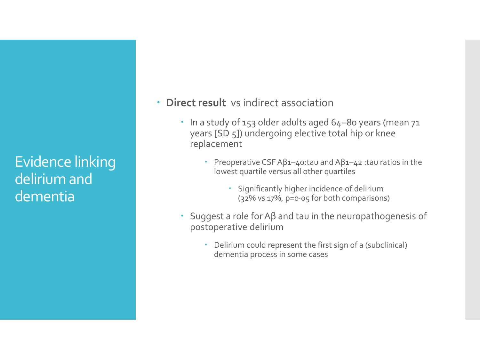- **Direct result** vs indirect association
	- In a study of 153 older adults aged 64–80 years (mean 71 years [SD 5]) undergoing elective total hip or knee replacement
		- Preoperative CSF Aβ1–40:tau and Aβ1–42 :tau ratios in the lowest quartile versus all other quartiles
			- Significantly higher incidence of delirium (32% vs 17%, p=0·05 for both comparisons)
	- $\cdot$  Suggest a role for Aβ and tau in the neuropathogenesis of postoperative delirium
		- Delirium could represent the first sign of a (subclinical) dementia process in some cases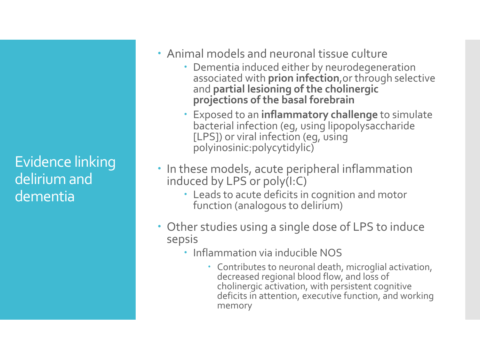- Animal models and neuronal tissue culture
	- Dementia induced either by neurodegeneration associated with **prion infection**,or through selective and **partial lesioning of the cholinergic projections of the basal forebrain**
	- Exposed to an **inflammatory challenge** to simulate bacterial infection (eg, using lipopolysaccharide [LPS]) or viral infection (eg, using polyinosinic:polycytidylic)
- In these models, acute peripheral inflammation induced by LPS or poly(I:C)
	- Leads to acute deficits in cognition and motor function (analogous to delirium)
- Other studies using a single dose of LPS to induce sepsis
	- Inflammation via inducible NOS
		- Contributes to neuronal death, microglial activation, decreased regional blood flow, and loss of cholinergic activation, with persistent cognitive deficits in attention, executive function, and working memory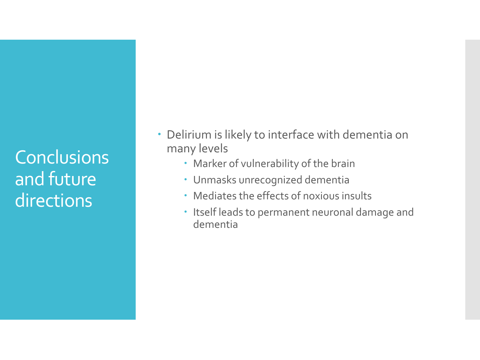**Conclusions** and future directions

- Delirium is likely to interface with dementia on many levels
	- Marker of vulnerability of the brain
	- Unmasks unrecognized dementia
	- Mediates the effects of noxious insults
	- Itself leads to permanent neuronal damage and dementia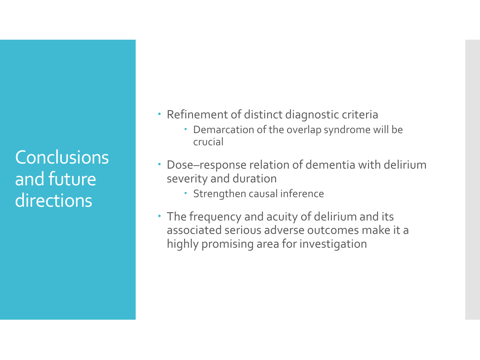**Conclusions** and future directions

- Refinement of distinct diagnostic criteria
	- Demarcation of the overlap syndrome will be crucial
- Dose–response relation of dementia with delirium severity and duration
	- Strengthen causal inference
- The frequency and acuity of delirium and its associated serious adverse outcomes make it a highly promising area for investigation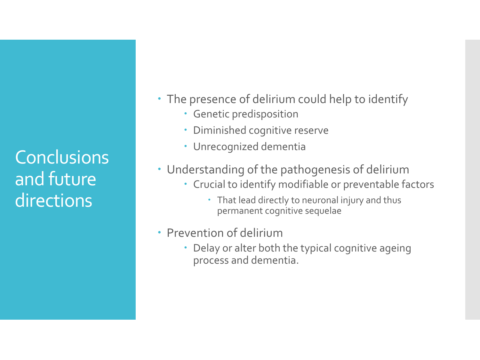**Conclusions** and future directions

- The presence of delirium could help to identify
	- Genetic predisposition
	- Diminished cognitive reserve
	- Unrecognized dementia
- Understanding of the pathogenesis of delirium
	- Crucial to identify modifiable or preventable factors
		- That lead directly to neuronal injury and thus permanent cognitive sequelae
- Prevention of delirium
	- Delay or alter both the typical cognitive ageing process and dementia.